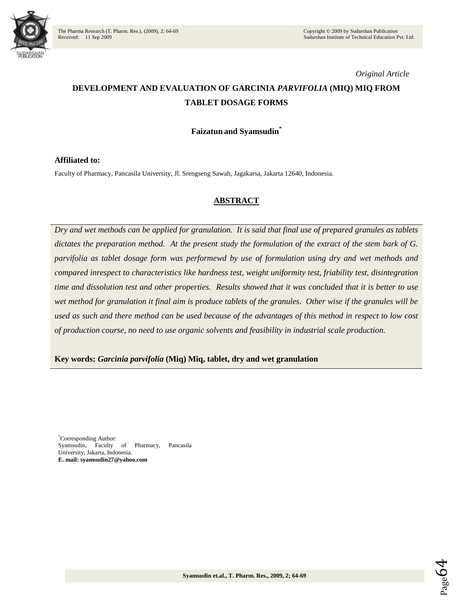

*Original Article*

# **DEVELOPMENT AND EVALUATION OF GARCINIA** *PARVIFOLIA* **(MIQ) MIQ FROM TABLET DOSAGE FORMS**

# **Faizatun and Syamsudin\***

#### **Affiliated to:**

Faculty of Pharmacy, Pancasila University, Jl. Srengseng Sawah, Jagakarsa, Jakarta 12640, Indonesia.

# **ABSTRACT**

*Dry and wet methods can be applied for granulation. It is said that final use of prepared granules as tablets dictates the preparation method. At the present study the formulation of the extract of the stem bark of G. parvifolia as tablet dosage form was performewd by use of formulation using dry and wet methods and compared inrespect to characteristics like hardness test, weight uniformity test, friability test, disintegration time and dissolution test and other properties. Results showed that it was concluded that it is better to use wet method for granulation it final aim is produce tablets of the granules. Other wise if the granules will be used as such and there method can be used because of the advantages of this method in respect to low cost of production course, no need to use organic solvents and feasibility in industrial scale production.*

**Key words:** *Garcinia parvifolia* **(Miq) Miq, tablet, dry and wet granulation**

\*Corresponding Author: Syamsudin, Faculty of Pharmacy, Pancasila University, Jakarta, Indonesia. **E. mail: syamsudin27@yahoo.com**

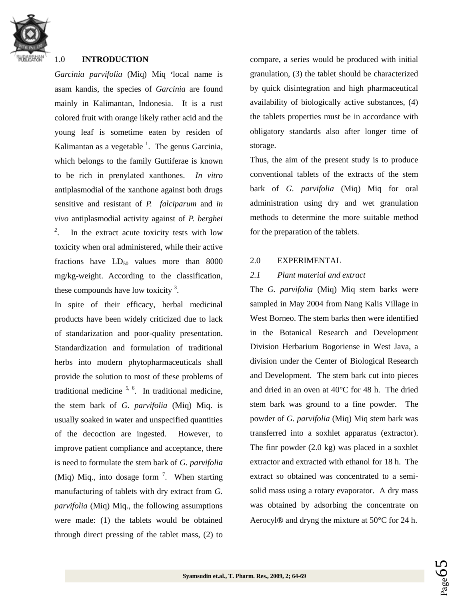

# 1.0 **INTRODUCTION**

*Garcinia parvifolia* (Miq) Miq 'local name is asam kandis, the species of *Garcinia* are found mainly in Kalimantan, Indonesia. It is a rust colored fruit with orange likely rather acid and the young leaf is sometime eaten by residen of Kalimantan as a vegetable  $\frac{1}{1}$ . The genus Garcinia, which belongs to the family Guttiferae is known to be rich in prenylated xanthones. *In vitro*  antiplasmodial of the xanthone against both drugs sensitive and resistant of *P. falciparum* and *in vivo* antiplasmodial activity against of *P. berghei 2* . In the extract acute toxicity tests with low toxicity when oral administered, while their active fractions have  $LD_{50}$  values more than 8000 mg/kg-weight. According to the classification, these compounds have low toxicity  $3$ .

In spite of their efficacy, herbal medicinal products have been widely criticized due to lack of standarization and poor-quality presentation. Standardization and formulation of traditional herbs into modern phytopharmaceuticals shall provide the solution to most of these problems of traditional medicine  $5, 6$ . In traditional medicine, the stem bark of *G. parvifolia* (Miq) Miq. is usually soaked in water and unspecified quantities of the decoction are ingested. However, to improve patient compliance and acceptance, there is need to formulate the stem bark of *G. parvifolia* (Miq) Miq., into dosage form  $\frac{7}{1}$ . When starting manufacturing of tablets with dry extract from *G. parvifolia* (Miq) Miq., the following assumptions were made: (1) the tablets would be obtained through direct pressing of the tablet mass, (2) to

compare, a series would be produced with initial granulation, (3) the tablet should be characterized by quick disintegration and high pharmaceutical availability of biologically active substances, (4) the tablets properties must be in accordance with obligatory standards also after longer time of storage.

Thus, the aim of the present study is to produce conventional tablets of the extracts of the stem bark of *G. parvifolia* (Miq) Miq for oral administration using dry and wet granulation methods to determine the more suitable method for the preparation of the tablets.

# 2.0 EXPERIMENTAL

# *2.1 Plant material and extract*

The *G. parvifolia* (Miq) Miq stem barks were sampled in May 2004 from Nang Kalis Village in West Borneo. The stem barks then were identified in the Botanical Research and Development Division Herbarium Bogoriense in West Java, a division under the Center of Biological Research and Development. The stem bark cut into pieces and dried in an oven at 40°C for 48 h. The dried stem bark was ground to a fine powder. The powder of *G. parvifolia* (Miq) Miq stem bark was transferred into a soxhlet apparatus (extractor). The finr powder (2.0 kg) was placed in a soxhlet extractor and extracted with ethanol for 18 h. The extract so obtained was concentrated to a semisolid mass using a rotary evaporator. A dry mass was obtained by adsorbing the concentrate on Aerocyl $\circledR$  and dryng the mixture at 50 $\circ$ C for 24 h.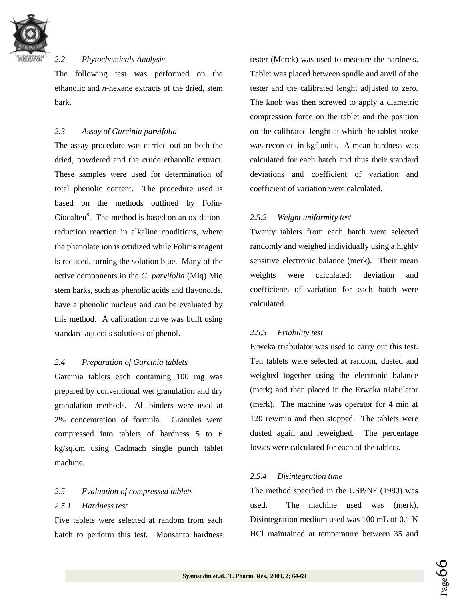

# *2.2 Phytochemicals Analysis*

The following test was performed on the ethanolic and *n*-hexane extracts of the dried, stem bark.

# *2.3 Assay of Garcinia parvifolia*

The assay procedure was carried out on both the dried, powdered and the crude ethanolic extract. These samples were used for determination of total phenolic content. The procedure used is based on the methods outlined by Folin-Ciocalteu<sup>8</sup>. The method is based on an oxidationreduction reaction in alkaline conditions, where the phenolate ion is oxidized while Folin's reagent is reduced, turning the solution blue. Many of the active components in the *G. parvifolia* (Miq) Miq stem barks, such as phenolic acids and flavonoids, have a phenolic nucleus and can be evaluated by this method. A calibration curve was built using standard aqueous solutions of phenol.

#### *2.4 Preparation of Garcinia tablets*

Garcinia tablets each containing 100 mg was prepared by conventional wet granulation and dry granulation methods. All binders were used at 2% concentration of formula. Granules were compressed into tablets of hardness 5 to 6 kg/sq.cm using Cadmach single punch tablet machine.

# *2.5 Evaluation of compressed tablets 2.5.1 Hardness test*

Five tablets were selected at random from each batch to perform this test. Monsanto hardness tester (Merck) was used to measure the hardness. Tablet was placed between spndle and anvil of the tester and the calibrated lenght adjusted to zero. The knob was then screwed to apply a diametric compression force on the tablet and the position on the calibrated lenght at which the tablet broke was recorded in kgf units. A mean hardness was calculated for each batch and thus their standard deviations and coefficient of variation and coefficient of variation were calculated.

# *2.5.2 Weight uniformity test*

Twenty tablets from each batch were selected randomly and weighed individually using a highly sensitive electronic balance (merk). Their mean weights were calculated; deviation and coefficients of variation for each batch were calculated.

#### *2.5.3 Friability test*

Erweka triabulator was used to carry out this test. Ten tablets were selected at random, dusted and weighed together using the electronic balance (merk) and then placed in the Erweka triabulator (merk). The machine was operator for 4 min at 120 rev/min and then stopped. The tablets were dusted again and reweighed. The percentage losses were calculated for each of the tablets.

#### *2.5.4 Disintegration time*

The method specified in the USP/NF (1980) was used. The machine used was (merk). Disintegration medium used was 100 mL of 0.1 N HCl maintained at temperature between 35 and

Page

66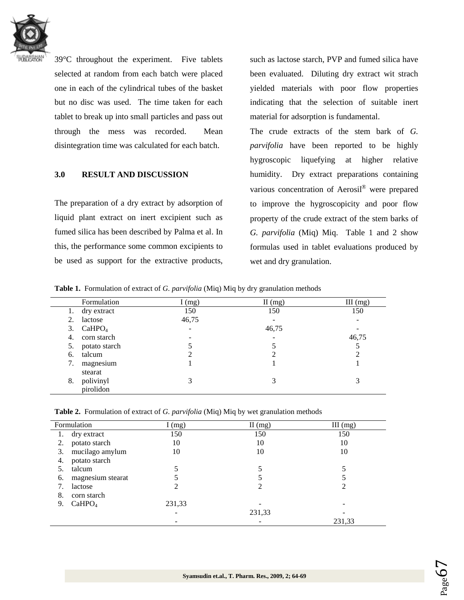

39°C throughout the experiment. Five tablets selected at random from each batch were placed one in each of the cylindrical tubes of the basket but no disc was used. The time taken for each tablet to break up into small particles and pass out through the mess was recorded. Mean disintegration time was calculated for each batch.

# **3.0 RESULT AND DISCUSSION**

The preparation of a dry extract by adsorption of liquid plant extract on inert excipient such as fumed silica has been described by Palma et al. In this, the performance some common excipients to be used as support for the extractive products,

such as lactose starch, PVP and fumed silica have been evaluated. Diluting dry extract wit strach yielded materials with poor flow properties indicating that the selection of suitable inert material for adsorption is fundamental.

The crude extracts of the stem bark of *G. parvifolia* have been reported to be highly hygroscopic liquefying at higher relative humidity. Dry extract preparations containing various concentration of Aerosil® were prepared to improve the hygroscopicity and poor flow property of the crude extract of the stem barks of *G. parvifolia* (Miq) Miq. Table 1 and 2 show formulas used in tablet evaluations produced by wet and dry granulation.

**Table 1.** Formulation of extract of *G. parvifolia* (Miq) Miq by dry granulation methods

|    | Formulation        | I(mg) | $II$ (mg) | $III$ (mg)               |
|----|--------------------|-------|-----------|--------------------------|
| 1. | dry extract        | 150   | 150       | 150                      |
| 2. | lactose            | 46,75 |           | $\overline{\phantom{a}}$ |
| 3. | CaHPO <sub>4</sub> |       | 46,75     |                          |
| 4. | corn starch        |       |           | 46,75                    |
| 5. | potato starch      |       |           |                          |
| 6. | talcum             |       | ∍         | っ                        |
| 7. | magnesium          |       |           |                          |
|    | stearat            |       |           |                          |
| 8. | polivinyl          | 3     | 3         | 3                        |
|    | pirolidon          |       |           |                          |

| Formulation |                    | I(mg)  | II(mg) | $III$ (mg) |
|-------------|--------------------|--------|--------|------------|
|             | dry extract        | 150    | 150    | 150        |
| 2.          | potato starch      | 10     | 10     | 10         |
| 3.          | mucilago amylum    | 10     | 10     | 10         |
| 4.          | potato starch      |        |        |            |
|             | talcum             |        |        |            |
| 6.          | magnesium stearat  |        |        |            |
|             | lactose            |        | 2      |            |
| 8.          | corn starch        |        |        |            |
| 9.          | CaHPO <sub>4</sub> | 231,33 |        |            |
|             |                    |        | 231,33 |            |
|             |                    |        |        | 231,33     |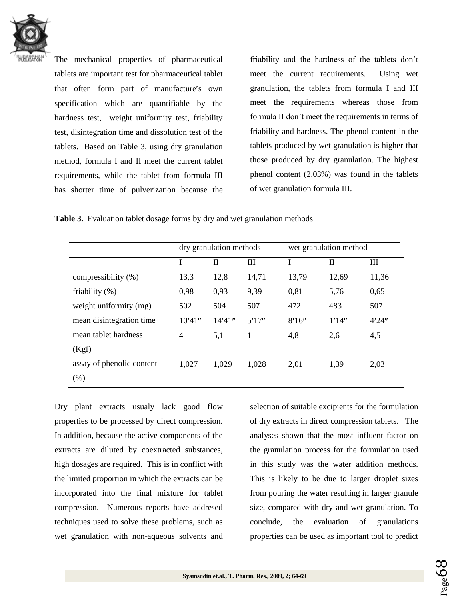

The mechanical properties of pharmaceutical tablets are important test for pharmaceutical tablet that often form part of manufacture's own specification which are quantifiable by the hardness test, weight uniformity test, friability test, disintegration time and dissolution test of the tablets. Based on Table 3, using dry granulation method, formula I and II meet the current tablet requirements, while the tablet from formula III has shorter time of pulverization because the friability and the hardness of the tablets don't meet the current requirements. Using wet granulation, the tablets from formula I and III meet the requirements whereas those from formula II don't meet the requirements in terms of friability and hardness. The phenol content in the tablets produced by wet granulation is higher that those produced by dry granulation. The highest phenol content (2.03%) was found in the tablets of wet granulation formula III.

**Table 3.** Evaluation tablet dosage forms by dry and wet granulation methods

|                           | dry granulation methods |         | wet granulation method |        |        |        |
|---------------------------|-------------------------|---------|------------------------|--------|--------|--------|
|                           |                         | П       | III                    |        | П      | Ш      |
| compressibility (%)       | 13,3                    | 12,8    | 14,71                  | 13,79  | 12,69  | 11,36  |
| friability $(\%)$         | 0,98                    | 0,93    | 9,39                   | 0,81   | 5,76   | 0,65   |
| weight uniformity (mg)    | 502                     | 504     | 507                    | 472    | 483    | 507    |
| mean disintegration time. | 10'41''                 | 14'41'' | 5'17''                 | 8'16'' | 1'14'' | 4'24'' |
| mean tablet hardness      | $\overline{4}$          | 5,1     | 1                      | 4,8    | 2,6    | 4,5    |
| (Kgf)                     |                         |         |                        |        |        |        |
| assay of phenolic content | 1,027                   | 1,029   | 1,028                  | 2,01   | 1,39   | 2,03   |
| (% )                      |                         |         |                        |        |        |        |

Dry plant extracts usualy lack good flow properties to be processed by direct compression. In addition, because the active components of the extracts are diluted by coextracted substances, high dosages are required. This is in conflict with the limited proportion in which the extracts can be incorporated into the final mixture for tablet compression. Numerous reports have addresed techniques used to solve these problems, such as wet granulation with non-aqueous solvents and selection of suitable excipients for the formulation of dry extracts in direct compression tablets. The analyses shown that the most influent factor on the granulation process for the formulation used in this study was the water addition methods. This is likely to be due to larger droplet sizes from pouring the water resulting in larger granule size, compared with dry and wet granulation. To conclude, the evaluation of granulations properties can be used as important tool to predict